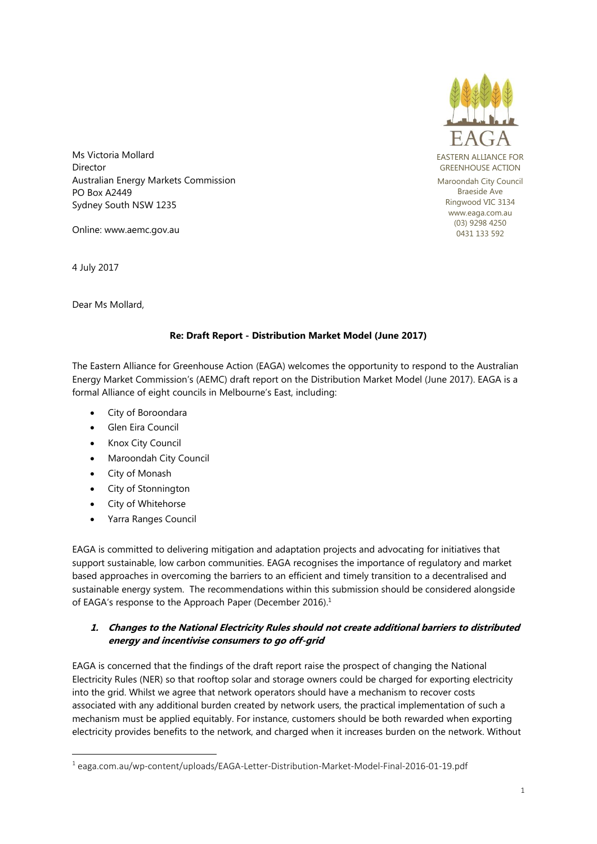

Ms Victoria Mollard **Director** Australian Energy Markets Commission PO Box A2449 Sydney South NSW 1235

Online: www.aemc.gov.au

4 July 2017

Dear Ms Mollard,

## **Re: Draft Report - Distribution Market Model (June 2017)**

The Eastern Alliance for Greenhouse Action (EAGA) welcomes the opportunity to respond to the Australian Energy Market Commission's (AEMC) draft report on the Distribution Market Model (June 2017). EAGA is a formal Alliance of eight councils in Melbourne's East, including:

- City of Boroondara
- Glen Eira Council
- Knox City Council
- Maroondah City Council
- City of Monash

**.** 

- City of Stonnington
- City of Whitehorse
- Yarra Ranges Council

EAGA is committed to delivering mitigation and adaptation projects and advocating for initiatives that support sustainable, low carbon communities. EAGA recognises the importance of regulatory and market based approaches in overcoming the barriers to an efficient and timely transition to a decentralised and sustainable energy system. The recommendations within this submission should be considered alongside of EAGA's response to the Approach Paper (December 2016).<sup>1</sup>

## **1. Changes to the National Electricity Rules should not create additional barriers to distributed energy and incentivise consumers to go off-grid**

EAGA is concerned that the findings of the draft report raise the prospect of changing the National Electricity Rules (NER) so that rooftop solar and storage owners could be charged for exporting electricity into the grid. Whilst we agree that network operators should have a mechanism to recover costs associated with any additional burden created by network users, the practical implementation of such a mechanism must be applied equitably. For instance, customers should be both rewarded when exporting electricity provides benefits to the network, and charged when it increases burden on the network. Without

<sup>1</sup> eaga.com.au/wp-content/uploads/EAGA-Letter-Distribution-Market-Model-Final-2016-01-19.pdf